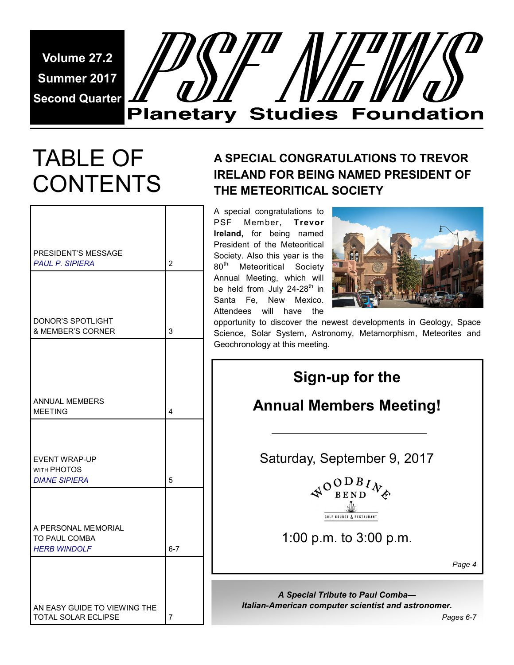**Volume 27.2 Summer 2017 Second Quarter** 



## TABLE OF **CONTENTS**

| PRESIDENT'S MESSAGE<br><b>PAUL P. SIPIERA</b>               | $\overline{2}$ |
|-------------------------------------------------------------|----------------|
| DONOR'S SPOTLIGHT<br><b>&amp; MEMBER'S CORNER</b>           | 3              |
| <b>ANNUAL MEMBERS</b>                                       |                |
| <b>MEETING</b><br><b>EVENT WRAP-UP</b><br>WITH PHOTOS       | 4              |
| <b>DIANE SIPIERA</b>                                        | 5              |
| A PERSONAL MEMORIAL<br>TO PAUL COMBA<br><b>HERB WINDOLF</b> | $6 - 7$        |
| AN EASY GUIDE TO VIEWING THE<br>TOTAL SOLAR ECLIPSE         | 7              |

### **A SPECIAL CONGRATULATIONS TO TREVOR IRELAND FOR BEING NAMED PRESIDENT OF THE METEORITICAL SOCIETY**

A special congratulations to PSF Member, **Trevor Ireland,** for being named President of the Meteoritical Society. Also this year is the 80<sup>th</sup> Meteoritical Society Annual Meeting, which will be held from July 24-28<sup>th</sup> in Santa Fe, New Mexico. Attendees will have the



opportunity to discover the newest developments in Geology, Space Science, Solar System, Astronomy, Metamorphism, Meteorites and Geochronology at this meeting.

| Sign-up for the<br><b>Annual Members Meeting!</b>                                  |        |
|------------------------------------------------------------------------------------|--------|
| Saturday, September 9, 2017                                                        |        |
| $\mathcal{A}^{O}$ BEND $\mathcal{W}_{\phi}$<br><b>GOLF COURSE &amp; RESTAURANT</b> |        |
| 1:00 p.m. to $3:00$ p.m.                                                           |        |
|                                                                                    | Page 4 |

*A Special Tribute to Paul Comba— Italian-American computer scientist and astronomer.*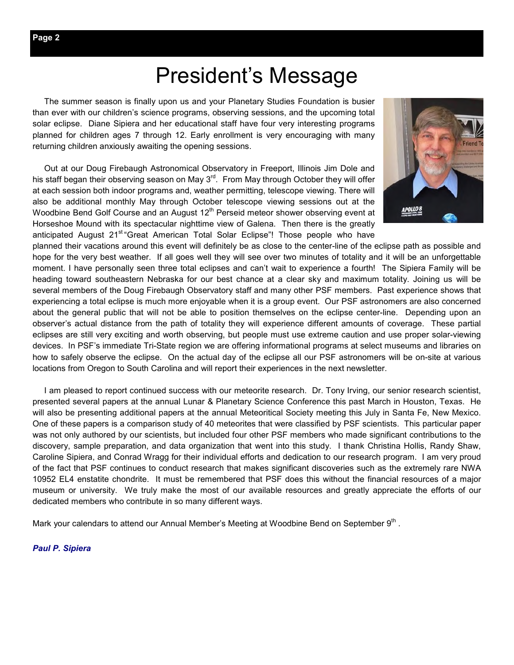### President's Message

 The summer season is finally upon us and your Planetary Studies Foundation is busier than ever with our children's science programs, observing sessions, and the upcoming total solar eclipse. Diane Sipiera and her educational staff have four very interesting programs planned for children ages 7 through 12. Early enrollment is very encouraging with many returning children anxiously awaiting the opening sessions.

 Out at our Doug Firebaugh Astronomical Observatory in Freeport, Illinois Jim Dole and his staff began their observing season on May  $3<sup>rd</sup>$ . From May through October they will offer at each session both indoor programs and, weather permitting, telescope viewing. There will also be additional monthly May through October telescope viewing sessions out at the Woodbine Bend Golf Course and an August  $12<sup>th</sup>$  Perseid meteor shower observing event at Horseshoe Mound with its spectacular nighttime view of Galena. Then there is the greatly anticipated August 21<sup>st</sup> "Great American Total Solar Eclipse"! Those people who have



planned their vacations around this event will definitely be as close to the center-line of the eclipse path as possible and hope for the very best weather. If all goes well they will see over two minutes of totality and it will be an unforgettable moment. I have personally seen three total eclipses and can't wait to experience a fourth! The Sipiera Family will be heading toward southeastern Nebraska for our best chance at a clear sky and maximum totality. Joining us will be several members of the Doug Firebaugh Observatory staff and many other PSF members. Past experience shows that experiencing a total eclipse is much more enjoyable when it is a group event. Our PSF astronomers are also concerned about the general public that will not be able to position themselves on the eclipse center-line. Depending upon an observer's actual distance from the path of totality they will experience different amounts of coverage. These partial eclipses are still very exciting and worth observing, but people must use extreme caution and use proper solar-viewing devices. In PSF's immediate Tri-State region we are offering informational programs at select museums and libraries on how to safely observe the eclipse. On the actual day of the eclipse all our PSF astronomers will be on-site at various locations from Oregon to South Carolina and will report their experiences in the next newsletter.

 I am pleased to report continued success with our meteorite research. Dr. Tony Irving, our senior research scientist, presented several papers at the annual Lunar & Planetary Science Conference this past March in Houston, Texas. He will also be presenting additional papers at the annual Meteoritical Society meeting this July in Santa Fe, New Mexico. One of these papers is a comparison study of 40 meteorites that were classified by PSF scientists. This particular paper was not only authored by our scientists, but included four other PSF members who made significant contributions to the discovery, sample preparation, and data organization that went into this study. I thank Christina Hollis, Randy Shaw, Caroline Sipiera, and Conrad Wragg for their individual efforts and dedication to our research program. I am very proud of the fact that PSF continues to conduct research that makes significant discoveries such as the extremely rare NWA 10952 EL4 enstatite chondrite. It must be remembered that PSF does this without the financial resources of a major museum or university. We truly make the most of our available resources and greatly appreciate the efforts of our dedicated members who contribute in so many different ways.

Mark your calendars to attend our Annual Member's Meeting at Woodbine Bend on September  $9<sup>th</sup>$ .

*Paul P. Sipiera*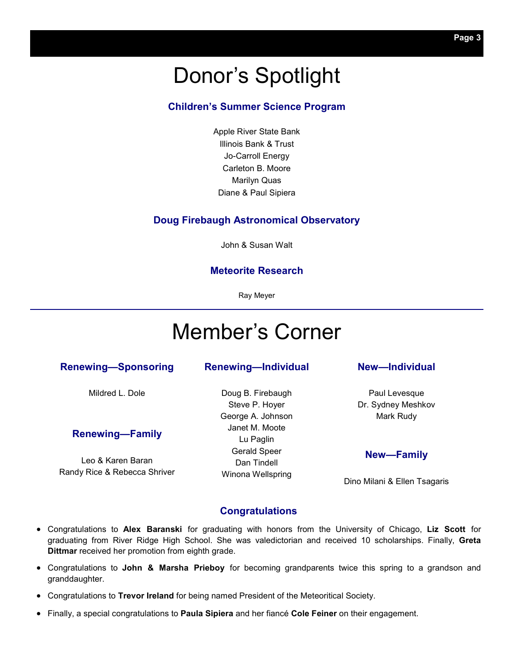### Donor's Spotlight

### **Children's Summer Science Program**

Apple River State Bank Illinois Bank & Trust Jo-Carroll Energy Carleton B. Moore Marilyn Quas Diane & Paul Sipiera

#### **Doug Firebaugh Astronomical Observatory**

John & Susan Walt

#### **Meteorite Research**

Ray Meyer

### Member's Corner

#### **Renewing—Sponsoring**

Mildred L. Dole

#### **Renewing—Family**

Leo & Karen Baran Randy Rice & Rebecca Shriver

### **Renewing—Individual**

Doug B. Firebaugh Steve P. Hoyer George A. Johnson Janet M. Moote Lu Paglin Gerald Speer Dan Tindell Winona Wellspring

#### **New—Individual**

Paul Levesque Dr. Sydney Meshkov Mark Rudy

#### **New—Family**

Dino Milani & Ellen Tsagaris

#### **Congratulations**

- Congratulations to **Alex Baranski** for graduating with honors from the University of Chicago, **Liz Scott** for graduating from River Ridge High School. She was valedictorian and received 10 scholarships. Finally, **Greta Dittmar** received her promotion from eighth grade.
- Congratulations to **John & Marsha Prieboy** for becoming grandparents twice this spring to a grandson and granddaughter.
- Congratulations to **Trevor Ireland** for being named President of the Meteoritical Society.
- Finally, a special congratulations to **Paula Sipiera** and her fiancé **Cole Feiner** on their engagement.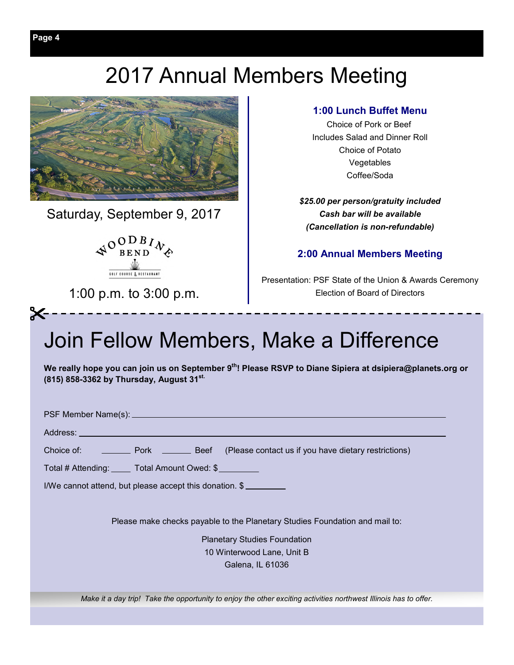### 2017 Annual Members Meeting



Saturday, September 9, 2017



1:00 p.m. to 3:00 p.m.

### **1:00 Lunch Buffet Menu**

Choice of Pork or Beef Includes Salad and Dinner Roll Choice of Potato Vegetables Coffee/Soda

*\$25.00 per person/gratuity included Cash bar will be available (Cancellation is non-refundable)* 

### **2:00 Annual Members Meeting**

Presentation: PSF State of the Union & Awards Ceremony Election of Board of Directors

### Join Fellow Members, Make a Difference

**We really hope you can join us on September 9th! Please RSVP to Diane Sipiera at dsipiera@planets.org or (815) 858-3362 by Thursday, August 31st.**

PSF Member Name(s):

Address:

 $\boldsymbol{\times}$ 

Choice of: <u>Pork Beef</u> (Please contact us if you have dietary restrictions)

Total # Attending: Total Amount Owed: \$

I/We cannot attend, but please accept this donation. \$

Please make checks payable to the Planetary Studies Foundation and mail to:

Planetary Studies Foundation 10 Winterwood Lane, Unit B Galena, IL 61036

*Make it a day trip! Take the opportunity to enjoy the other exciting activities northwest Illinois has to offer.*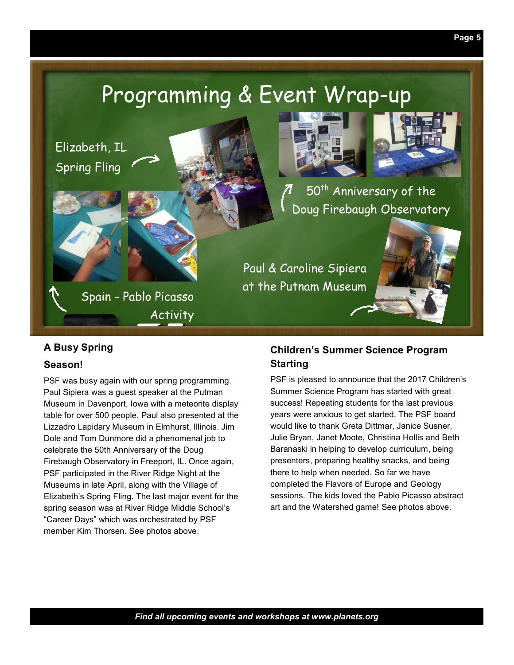### Programming & Event Wrap-up

Elizabeth, IL Spring Fling



50<sup>th</sup> Anniversary of the Doug Firebaugh Observatory

Spain - Pablo Picasso **Activity**  Paul & Caroline Sipiera at the Putnam Museum



### **A Busy Spring**

### **Season!**

PSF was busy again with our spring programming. Paul Sipiera was a guest speaker at the Putman Museum in Davenport, Iowa with a meteorite display table for over 500 people. Paul also presented at the Lizzadro Lapidary Museum in Elmhurst, Illinois. Jim Dole and Tom Dunmore did a phenomenal job to celebrate the 50th Anniversary of the Doug Firebaugh Observatory in Freeport, IL. Once again, PSF participated in the River Ridge Night at the Museums in late April, along with the Village of Elizabeth's Spring Fling. The last major event for the spring season was at River Ridge Middle School's "Career Days" which was orchestrated by PSF member Kim Thorsen. See photos above.

### **Children's Summer Science Program Starting**

PSF is pleased to announce that the 2017 Children's Summer Science Program has started with great success! Repeating students for the last previous years were anxious to get started. The PSF board would like to thank Greta Dittmar, Janice Susner, Julie Bryan, Janet Moote, Christina Hollis and Beth Baranaski in helping to develop curriculum, being presenters, preparing healthy snacks, and being there to help when needed. So far we have completed the Flavors of Europe and Geology sessions. The kids loved the Pablo Picasso abstract art and the Watershed game! See photos above.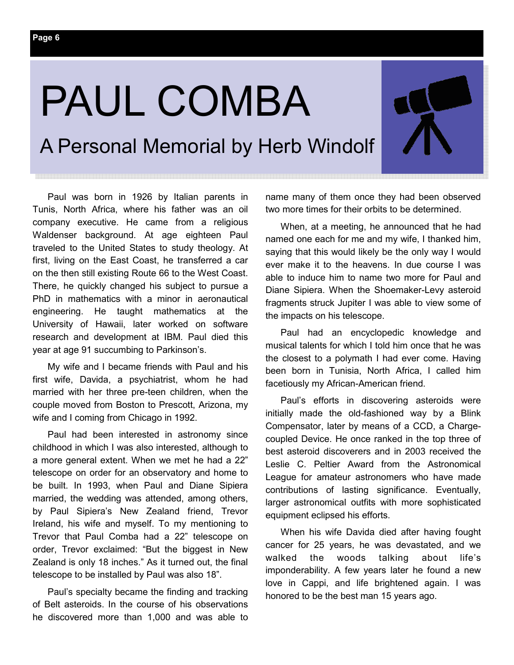**Page 6** 

# PAUL COMBA

A Personal Memorial by Herb Windolf

Paul was born in 1926 by Italian parents in Tunis, North Africa, where his father was an oil company executive. He came from a religious Waldenser background. At age eighteen Paul traveled to the United States to study theology. At first, living on the East Coast, he transferred a car on the then still existing Route 66 to the West Coast. There, he quickly changed his subject to pursue a PhD in mathematics with a minor in aeronautical engineering. He taught mathematics at the University of Hawaii, later worked on software research and development at IBM. Paul died this year at age 91 succumbing to Parkinson's.

My wife and I became friends with Paul and his first wife, Davida, a psychiatrist, whom he had married with her three pre-teen children, when the couple moved from Boston to Prescott, Arizona, my wife and I coming from Chicago in 1992.

Paul had been interested in astronomy since childhood in which I was also interested, although to a more general extent. When we met he had a 22" telescope on order for an observatory and home to be built. In 1993, when Paul and Diane Sipiera married, the wedding was attended, among others, by Paul Sipiera's New Zealand friend, Trevor Ireland, his wife and myself. To my mentioning to Trevor that Paul Comba had a 22" telescope on order, Trevor exclaimed: "But the biggest in New Zealand is only 18 inches." As it turned out, the final telescope to be installed by Paul was also 18".

Paul's specialty became the finding and tracking of Belt asteroids. In the course of his observations he discovered more than 1,000 and was able to name many of them once they had been observed two more times for their orbits to be determined.

When, at a meeting, he announced that he had named one each for me and my wife, I thanked him, saying that this would likely be the only way I would ever make it to the heavens. In due course I was able to induce him to name two more for Paul and Diane Sipiera. When the Shoemaker-Levy asteroid fragments struck Jupiter I was able to view some of the impacts on his telescope.

Paul had an encyclopedic knowledge and musical talents for which I told him once that he was the closest to a polymath I had ever come. Having been born in Tunisia, North Africa, I called him facetiously my African-American friend.

Paul's efforts in discovering asteroids were initially made the old-fashioned way by a Blink Compensator, later by means of a CCD, a Chargecoupled Device. He once ranked in the top three of best asteroid discoverers and in 2003 received the Leslie C. Peltier Award from the Astronomical League for amateur astronomers who have made contributions of lasting significance. Eventually, larger astronomical outfits with more sophisticated equipment eclipsed his efforts.

When his wife Davida died after having fought cancer for 25 years, he was devastated, and we walked the woods talking about life's imponderability. A few years later he found a new love in Cappi, and life brightened again. I was honored to be the best man 15 years ago.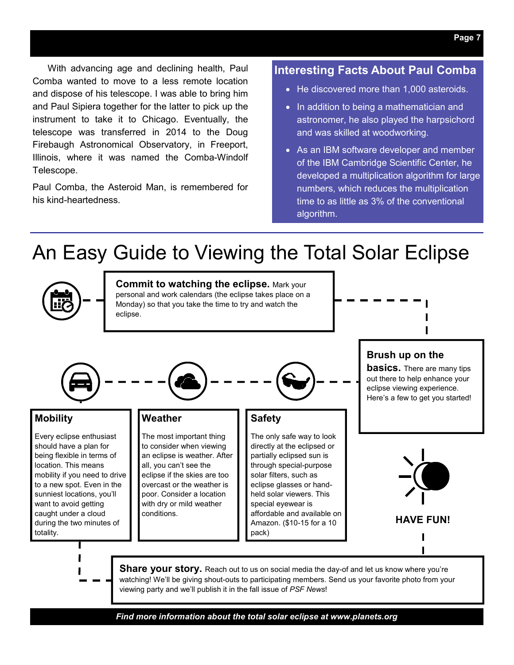### With advancing age and declining health, Paul Comba wanted to move to a less remote location and dispose of his telescope. I was able to bring him and Paul Sipiera together for the latter to pick up the instrument to take it to Chicago. Eventually, the telescope was transferred in 2014 to the Doug Firebaugh Astronomical Observatory, in Freeport, Illinois, where it was named the Comba-Windolf Telescope.

Paul Comba, the Asteroid Man, is remembered for his kind-heartedness.

### **Interesting Facts About Paul Comba**

- He discovered more than 1,000 asteroids.
- In addition to being a mathematician and astronomer, he also played the harpsichord and was skilled at woodworking.
- As an IBM software developer and member of the IBM Cambridge Scientific Center, he developed a multiplication algorithm for large numbers, which reduces the multiplication time to as little as 3% of the conventional algorithm.

### An Easy Guide to Viewing the Total Solar Eclipse



*Find more information about the total solar eclipse at www.planets.org*